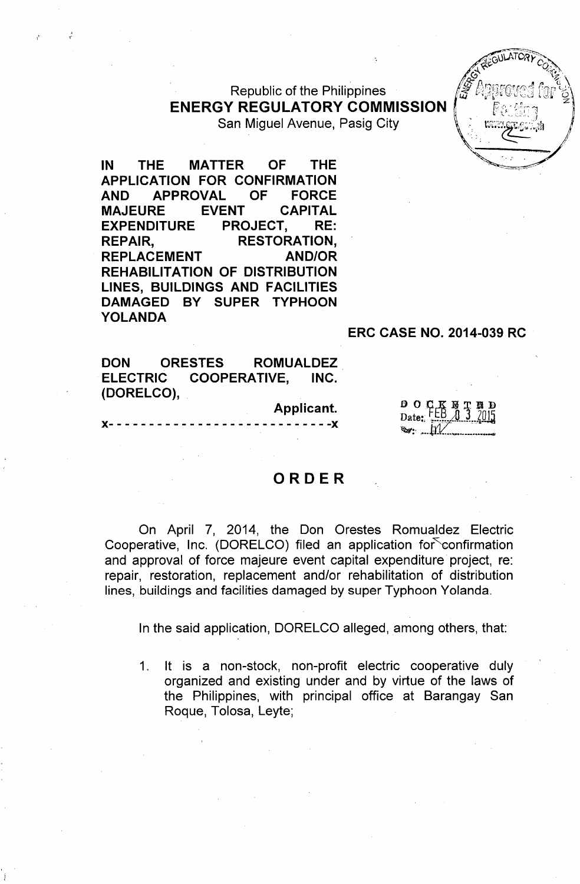Republic of the Philippines **ENERGY REGULATORY COMMISSION** San Miguel Avenue, Pasig City



IN THE MATTER OF THE APPLICATION FOR CONFIRMATION AND APPROVAL OF FORCE MAJEURE EVENT CAPITAL EXPENDITURE PROJECT, RE: REPAIR, RESTORATION, REPLACEMENT AND/OR REHABILITATION OF DISTRIBUTION LINES, BUILDINGS AND FACILITIES DAMAGED BY SUPER TYPHOON YOLANDA

,-

#### ERC CASE NO. 2014-039 RC

DON ORESTES ROMUALDEZ ELECTRIC COOPERATIVE, INC. (DORELCO),

Applicant.

 $- - - - - -$ 

D2te.. <sup>o</sup> *o.r~'* ~:::,;;/. 1".\_Jtl *~or ~:-,...~r.~\_ \_....\_*

### ORDER

On April 7, 2014, the Don Orestes Romualdez Electric Cooperative, Inc. (DORELCO) filed an application for confirmation and approval of force majeure event capital expenditure project, re: repair, restoration, replacement and/or rehabilitation of distribution lines, buildings and facilities damaged by super Typhoon Yolanda.

In the said application, DORELCO alleged, among others, that:

1. It is a non-stock, non-profit electric cooperative duly organized and existing under and by virtue of the laws of the Philippines, with principal office at Barangay San Roque, Tolosa, Leyte;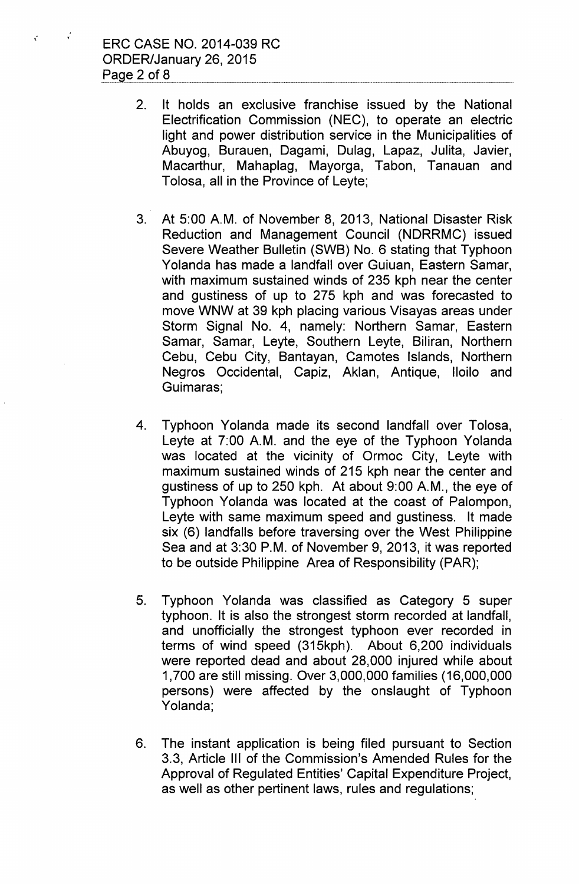ERC CASE NO. 2014-039 RC ORDER/January 26, 2015 Page  $2$  of  $8$ 

, T

 $\mathbf{r}^{\mathrm{max}}$ 

- 2. It holds an exclusive franchise issued by the National Electrification Commission (NEC), to operate an electric light and power distribution service in the Municipalities of Abuyog, Burauen, Dagami, Dulag, Lapaz, Julita, Javier, Macarthur, Mahaplag, Mayorga, Tabon, Tanauan and Tolosa, all in the Province of Leyte;
- 3. At 5:00 A.M. of November 8, 2013, National Disaster Risk Reduction and Management Council (NDRRMC) issued Severe Weather Bulletin (SWB) No. 6 stating that Typhoon Yolanda has made a landfall over Guiuan, Eastern Samar, with maximum sustained winds of 235 kph near the center and gustiness of up to 275 kph and was forecasted to move WNW at 39 kph placing various Visayas areas under Storm Signal NO.4, namely: Northern Samar, Eastern Samar, Samar, Leyte, Southern Leyte, Biliran, Northern Cebu, Cebu City, Bantayan, Camotes Islands, Northern Negros Occidental, Capiz, Aklan, Antique, Iloilo and Guimaras;
- 4. Typhoon Yolanda made its second landfall over Tolosa, Leyte at 7:00 A.M. and the eye of the Typhoon Yolanda was located at the vicinity of Ormoc City, Leyte with maximum sustained winds of 215 kph near the center and gustiness of up to 250 kph. At about 9:00 A.M., the eye of Typhoon Yolanda was located at the coast of Palompon, Leyte with same maximum speed and gustiness. It made six (6) landfalls before traversing over the West Philippine Sea and at 3:30 P.M. of November 9, 2013, it was reported to be outside Philippine Area of Responsibility (PAR);
- 5. Typhoon Yolanda was classified as Category 5 super typhoon. It is also the strongest storm recorded at landfall, and unofficially the strongest typhoon ever recorded in terms of wind speed (315kph). About 6,200 individuals were reported dead and about 28,000 injured while about 1,700 are still missing. Over 3,000,000 families (16,000,000 persons) were affected by the onslaught of Typhoon Yolanda;
- 6. The instant application is being filed pursuant to Section 3.3, Article III of the Commission's Amended Rules for the Approval of Regulated Entities' Capital Expenditure Project, as well as other pertinent laws, rules and regulations;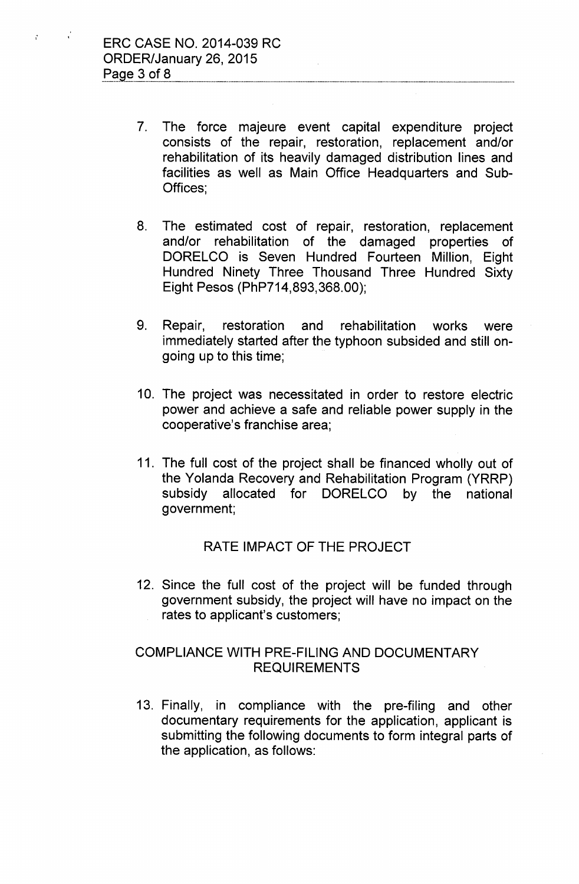$\chi^2$ 

 $\mathbf{r}$ 

- 7. The force majeure event capital expenditure project consists of the repair, restoration, replacement and/or rehabilitation of its heavily damaged distribution lines and facilities as well as Main Office Headquarters and Sub-Offices;
- 8. The estimated cost of repair, restoration, replacement and/or rehabilitation of the damaged properties of DORELCO is Seven Hundred Fourteen Million, Eight Hundred Ninety Three Thousand Three Hundred Sixty Eight Pesos (PhP714,893,368.00);
- 9. Repair, restoration and rehabilitation works were immediately started after the typhoon subsided and still ongoing up to this time;
- 10. The project was necessitated in order to restore electric power and achieve a safe and reliable power supply in the cooperative's franchise area;
- 11. The full cost of the project shall be financed wholly out of the Yolanda Recovery and Rehabilitation Program (YRRP) subsidy allocated for DORELCO by the national government;

# RATE IMPACT OF THE PROJECT

12. Since the full cost of the project will be funded through government subsidy, the project will have no impact on the rates to applicant's customers;

# COMPLIANCE WITH PRE-FILING AND DOCUMENTARY REQUIREMENTS

13. Finally, in compliance with the pre-filing and other documentary requirements for the application, applicant is submitting the following documents to form integral parts of the application, as follows: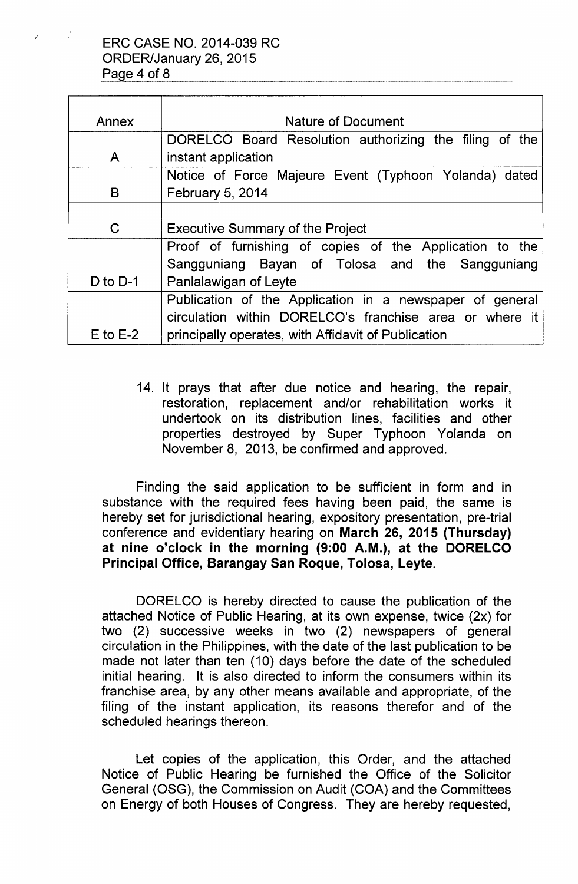| Annex        | Nature of Document                                       |
|--------------|----------------------------------------------------------|
|              | DORELCO Board Resolution authorizing the filing of the   |
| A            | instant application                                      |
|              | Notice of Force Majeure Event (Typhoon Yolanda) dated    |
| B            | <b>February 5, 2014</b>                                  |
|              |                                                          |
| C            | <b>Executive Summary of the Project</b>                  |
|              | Proof of furnishing of copies of the Application to the  |
|              | Sangguniang Bayan of Tolosa and the Sangguniang          |
| D to $D-1$   | Panlalawigan of Leyte                                    |
|              | Publication of the Application in a newspaper of general |
|              | circulation within DORELCO's franchise area or where it  |
| $E$ to $E-2$ | principally operates, with Affidavit of Publication      |

14. It prays that after due notice and hearing, the repair, restoration, replacement and/or rehabilitation works it undertook on its distribution lines, facilities and other properties destroyed by Super Typhoon Yolanda on November 8, 2013, be confirmed and approved.

Finding the said application to be sufficient in form and in substance with the required fees having been paid, the same is hereby set for jurisdictional hearing, expository presentation, pre-trial conference and evidentiary hearing on March 26, 2015 (Thursday) at nine o'clock in the morning (9:00 A.M.), at the DORELCO Principal Office, Barangay San Roque, Tolosa, Leyte.

DORELCO is hereby directed to cause the publication of the attached Notice of Public Hearing, at its own expense, twice (2x) for two (2) successive weeks in two (2) newspapers of general circulation in the Philippines, with the date of the last publication to be made not later than ten (10) days before the date of the scheduled initial hearing. It is also directed to inform the consumers within its franchise area, by any other means available and appropriate, of the filing of the instant application, its reasons therefor and of the scheduled hearings thereon.

Let copies of the application, this Order, and the attached Notice of Public Hearing be furnished the Office of the Solicitor General (OSG), the Commission on Audit (COA) and the Committees on Energy of both Houses of Congress. They are hereby requested,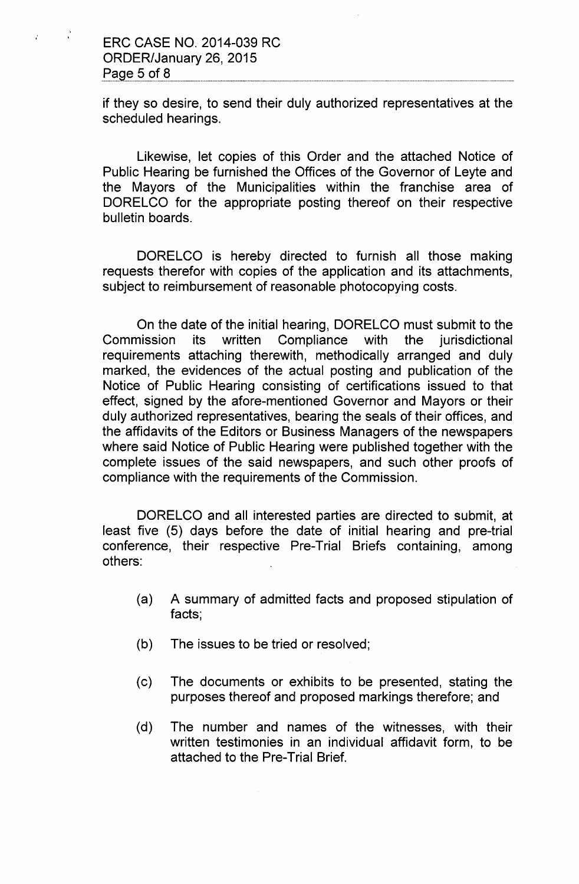$\mathcal{L}$ 

 $\mathcal{L}$ 

if they so desire, to send their duly authorized representatives at the scheduled hearings.

Likewise, let copies of this Order and the attached Notice of Public Hearing be furnished the Offices of the Governor of Leyte and the Mayors of the Municipalities within the franchise area of DORELCO for the appropriate posting thereof on their respective bulletin boards.

DORELCO is hereby directed to furnish all those making requests therefor with copies of the application and its attachments, subject to reimbursement of reasonable photocopying costs.

On the date of the initial hearing, DORELCO must submit to the Commission its written Compliance with the jurisdictional requirements attaching therewith, methodically arranged and duly marked, the evidences of the actual posting and publication of the Notice of Public Hearing consisting of certifications issued to that effect, signed by the afore-mentioned Governor and Mayors or their duly authorized representatives, bearing the seals of their offices, and the affidavits of the Editors or Business Managers of the newspapers where said Notice of Public Hearing were published together with the complete issues of the said newspapers, and such other proofs of compliance with the requirements of the Commission.

DORELCO and all interested parties are directed to submit, at least five (5) days before the date of initial hearing and pre-trial conference, their respective Pre-Trial Briefs containing, among others:

- (a) A summary of admitted facts and proposed stipulation of facts;
- (b) The issues to be tried or resolved;
- (c) The documents or exhibits to be presented, stating the purposes thereof and proposed markings therefore; and
- (d) The number and names of the witnesses, with their written testimonies in an individual affidavit form, to be attached to the Pre-Trial Brief.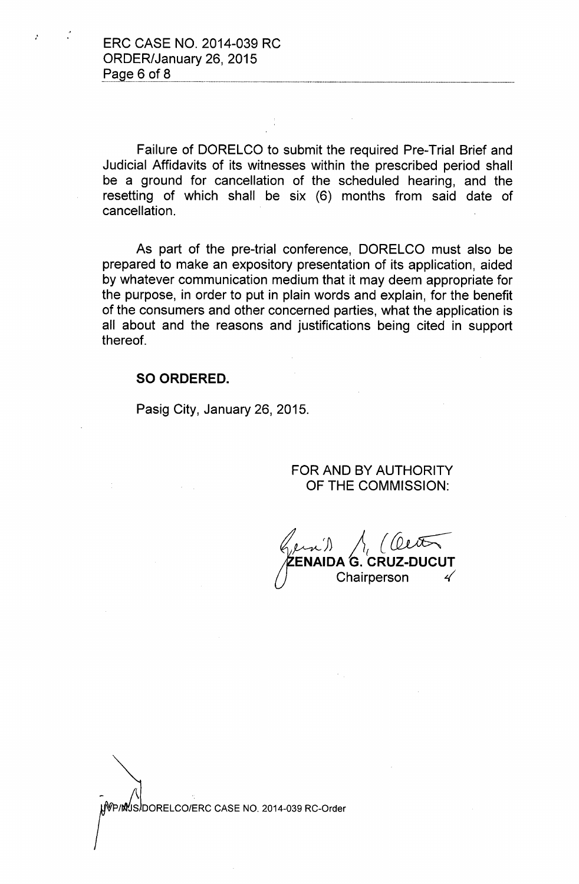:

Failure of DORELCO to submit the required Pre-Trial Brief and Judicial Affidavits of its witnesses within the prescribed period shall be a ground for cancellation of the scheduled hearing, and the resetting of which shall be six (6) months from said date of cancellation.

As part of the pre-trial conference, DORELCO must also be prepared to make an expository presentation of its application, aided by whatever communication medium that it may deem appropriate for the purpose, in order to put in plain words and explain, for the benefit of the consumers and other concerned parties, what the application is all about and the reasons and justifications being cited in support thereof.

### **SO ORDERED.**

Pasig City, January 26, 2015.

FOR AND BY AUTHORITY OF THE COMMISSION:

~j) *jI{ {~* **ENAIDA G. CRUZ-DUCUT** Chairperson *L(*

WP/MUS/DORELCO/ERC CASE NO. 2014-039 RC-Order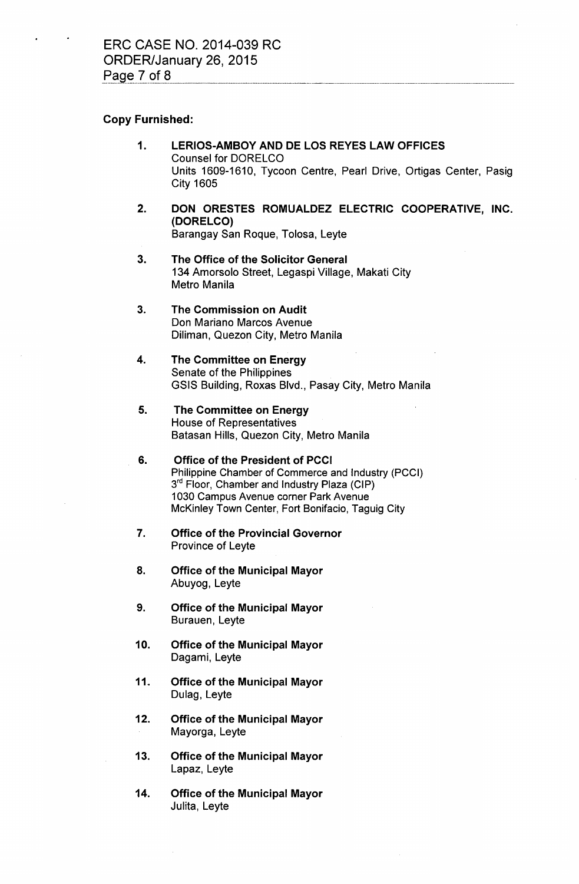#### Copy Furnished:

- 1. LERIOS-AMBOYAND DE LOS REYESLAW OFFICES Counsel for DORELCO Units 1609-1610, Tycoon Centre, Pearl Drive, Ortigas Center, Pasig City 1605
- 2. DON ORESTES ROMUALDEZ ELECTRIC COOPERATIVE, INC. (DORELCO) Barangay San Roque, Tolosa, Leyte
- 3. The Office of the Solicitor General 134 Amorsolo Street, Legaspi Village, Makati City Metro Manila
- 3. The Commission on Audit Don Mariano Marcos Avenue Diliman, Quezon City, Metro Manila
- 4. The Committee on Energy Senate of the Philippines GSIS Building, Roxas Blvd., Pasay City, Metro Manila
- 5. The Committee on Energy House of Representatives Batasan Hills, Quezon City, Metro Manila
- 6. Office of the President of PCCI Philippine Chamber of Commerce and Industry (PCCI) 3<sup>rd</sup> Floor, Chamber and Industry Plaza (CIP) 1030 Campus Avenue corner Park Avenue McKinley Town Center, Fort Bonifacio, Taguig City
- 7. Office of the Provincial Governor Province of Leyte
- 8. Office of the Municipal Mayor Abuyog, Leyte
- 9. Office of the Municipal Mayor Burauen, Leyte
- 10. Office of the Municipal Mayor Dagami, Leyte
- 11. Office of the Municipal Mayor Dulag, Leyte
- 12. Office of the Municipal Mayor Mayorga, Leyte
- 13. Office of the Municipal Mayor Lapaz, Leyte
- 14. Office of the Municipal Mayor Julita, Leyte